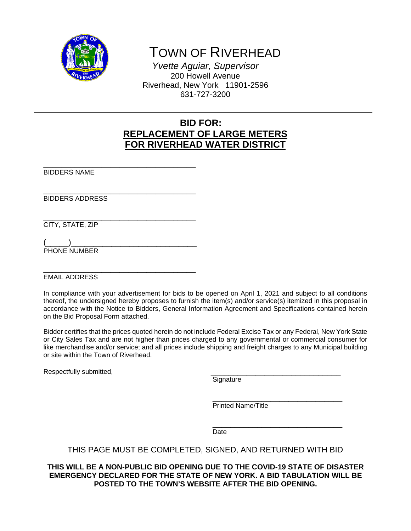

TOWN OF RIVERHEAD

*Yvette Aguiar, Supervisor*  200 Howell Avenue Riverhead, New York 11901-2596 631-727-3200

# **BID FOR: REPLACEMENT OF LARGE METERS FOR RIVERHEAD WATER DISTRICT**

\_\_\_\_\_\_\_\_\_\_\_\_\_\_\_\_\_\_\_\_\_\_\_\_\_\_\_\_\_\_\_\_\_\_ BIDDERS NAME

\_\_\_\_\_\_\_\_\_\_\_\_\_\_\_\_\_\_\_\_\_\_\_\_\_\_\_\_\_\_\_\_\_\_ BIDDERS ADDRESS

CITY, STATE, ZIP

PHONE NUMBER

\_\_\_\_\_\_\_\_\_\_\_\_\_\_\_\_\_\_\_\_\_\_\_\_\_\_\_\_\_\_\_\_\_\_ EMAIL ADDRESS

In compliance with your advertisement for bids to be opened on April 1, 2021 and subject to all conditions thereof, the undersigned hereby proposes to furnish the item(s) and/or service(s) itemized in this proposal in accordance with the Notice to Bidders, General Information Agreement and Specifications contained herein on the Bid Proposal Form attached.

Bidder certifies that the prices quoted herein do not include Federal Excise Tax or any Federal, New York State or City Sales Tax and are not higher than prices charged to any governmental or commercial consumer for like merchandise and/or service; and all prices include shipping and freight charges to any Municipal building or site within the Town of Riverhead.

Respectfully submitted, example and the control of the system of Signature and Signature

\_\_\_\_\_\_\_\_\_\_\_\_\_\_\_\_\_\_\_\_\_\_\_\_\_\_\_\_\_ Printed Name/Title

\_\_\_\_\_\_\_\_\_\_\_\_\_\_\_\_\_\_\_\_\_\_\_\_\_\_\_\_\_ Date

## THIS PAGE MUST BE COMPLETED, SIGNED, AND RETURNED WITH BID

**THIS WILL BE A NON-PUBLIC BID OPENING DUE TO THE COVID-19 STATE OF DISASTER EMERGENCY DECLARED FOR THE STATE OF NEW YORK. A BID TABULATION WILL BE POSTED TO THE TOWN'S WEBSITE AFTER THE BID OPENING.**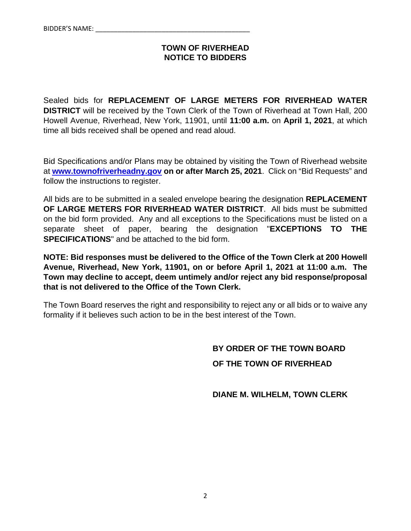## **TOWN OF RIVERHEAD NOTICE TO BIDDERS**

Sealed bids for **REPLACEMENT OF LARGE METERS FOR RIVERHEAD WATER DISTRICT** will be received by the Town Clerk of the Town of Riverhead at Town Hall, 200 Howell Avenue, Riverhead, New York, 11901, until **11:00 a.m.** on **April 1, 2021**, at which time all bids received shall be opened and read aloud.

Bid Specifications and/or Plans may be obtained by visiting the Town of Riverhead website at **www.townofriverheadny.gov on or after March 25, 2021**. Click on "Bid Requests" and follow the instructions to register.

All bids are to be submitted in a sealed envelope bearing the designation **REPLACEMENT OF LARGE METERS FOR RIVERHEAD WATER DISTRICT**. All bids must be submitted on the bid form provided. Any and all exceptions to the Specifications must be listed on a separate sheet of paper, bearing the designation "**EXCEPTIONS TO THE SPECIFICATIONS**" and be attached to the bid form.

**NOTE: Bid responses must be delivered to the Office of the Town Clerk at 200 Howell Avenue, Riverhead, New York, 11901, on or before April 1, 2021 at 11:00 a.m. The Town may decline to accept, deem untimely and/or reject any bid response/proposal that is not delivered to the Office of the Town Clerk.**

The Town Board reserves the right and responsibility to reject any or all bids or to waive any formality if it believes such action to be in the best interest of the Town.

# **BY ORDER OF THE TOWN BOARD OF THE TOWN OF RIVERHEAD**

 **DIANE M. WILHELM, TOWN CLERK**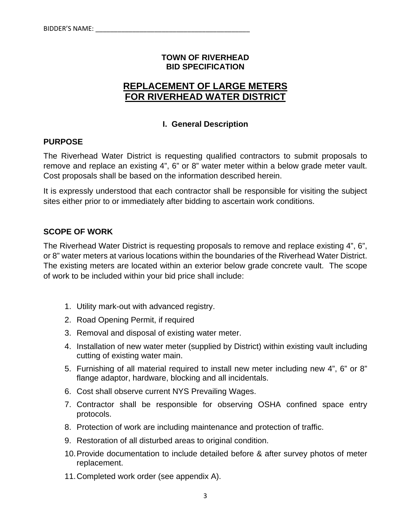## **TOWN OF RIVERHEAD BID SPECIFICATION**

# **REPLACEMENT OF LARGE METERS FOR RIVERHEAD WATER DISTRICT**

## **I. General Description**

## **PURPOSE**

The Riverhead Water District is requesting qualified contractors to submit proposals to remove and replace an existing 4", 6" or 8" water meter within a below grade meter vault. Cost proposals shall be based on the information described herein.

It is expressly understood that each contractor shall be responsible for visiting the subject sites either prior to or immediately after bidding to ascertain work conditions.

## **SCOPE OF WORK**

The Riverhead Water District is requesting proposals to remove and replace existing 4", 6", or 8" water meters at various locations within the boundaries of the Riverhead Water District. The existing meters are located within an exterior below grade concrete vault. The scope of work to be included within your bid price shall include:

- 1. Utility mark-out with advanced registry.
- 2. Road Opening Permit, if required
- 3. Removal and disposal of existing water meter.
- 4. Installation of new water meter (supplied by District) within existing vault including cutting of existing water main.
- 5. Furnishing of all material required to install new meter including new 4", 6" or 8" flange adaptor, hardware, blocking and all incidentals.
- 6. Cost shall observe current NYS Prevailing Wages.
- 7. Contractor shall be responsible for observing OSHA confined space entry protocols.
- 8. Protection of work are including maintenance and protection of traffic.
- 9. Restoration of all disturbed areas to original condition.
- 10. Provide documentation to include detailed before & after survey photos of meter replacement.
- 11. Completed work order (see appendix A).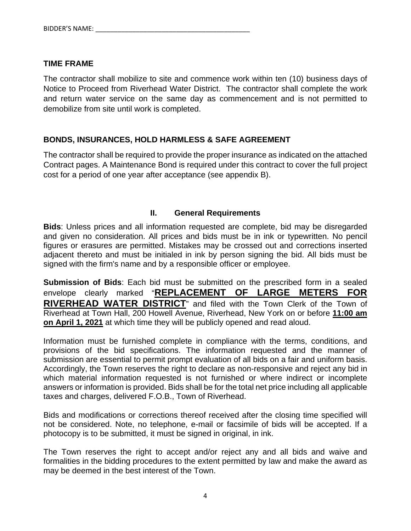## **TIME FRAME**

The contractor shall mobilize to site and commence work within ten (10) business days of Notice to Proceed from Riverhead Water District. The contractor shall complete the work and return water service on the same day as commencement and is not permitted to demobilize from site until work is completed.

# **BONDS, INSURANCES, HOLD HARMLESS & SAFE AGREEMENT**

The contractor shall be required to provide the proper insurance as indicated on the attached Contract pages. A Maintenance Bond is required under this contract to cover the full project cost for a period of one year after acceptance (see appendix B).

## **II. General Requirements**

**Bids**: Unless prices and all information requested are complete, bid may be disregarded and given no consideration. All prices and bids must be in ink or typewritten. No pencil figures or erasures are permitted. Mistakes may be crossed out and corrections inserted adjacent thereto and must be initialed in ink by person signing the bid. All bids must be signed with the firm's name and by a responsible officer or employee.

**Submission of Bids**: Each bid must be submitted on the prescribed form in a sealed envelope clearly marked "**REPLACEMENT OF LARGE METERS FOR RIVERHEAD WATER DISTRICT**" and filed with the Town Clerk of the Town of Riverhead at Town Hall, 200 Howell Avenue, Riverhead, New York on or before **11:00 am on April 1, 2021** at which time they will be publicly opened and read aloud.

Information must be furnished complete in compliance with the terms, conditions, and provisions of the bid specifications. The information requested and the manner of submission are essential to permit prompt evaluation of all bids on a fair and uniform basis. Accordingly, the Town reserves the right to declare as non-responsive and reject any bid in which material information requested is not furnished or where indirect or incomplete answers or information is provided. Bids shall be for the total net price including all applicable taxes and charges, delivered F.O.B., Town of Riverhead.

Bids and modifications or corrections thereof received after the closing time specified will not be considered. Note, no telephone, e-mail or facsimile of bids will be accepted. If a photocopy is to be submitted, it must be signed in original, in ink.

The Town reserves the right to accept and/or reject any and all bids and waive and formalities in the bidding procedures to the extent permitted by law and make the award as may be deemed in the best interest of the Town.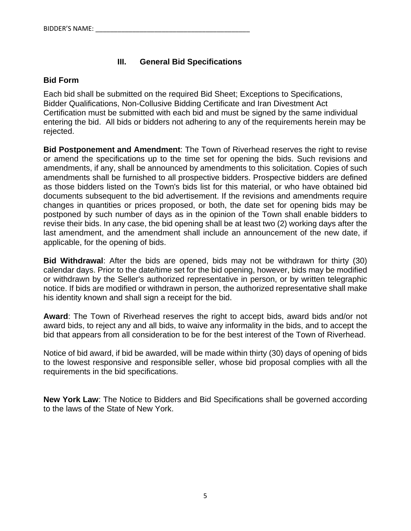# **III. General Bid Specifications**

## **Bid Form**

Each bid shall be submitted on the required Bid Sheet; Exceptions to Specifications, Bidder Qualifications, Non-Collusive Bidding Certificate and Iran Divestment Act Certification must be submitted with each bid and must be signed by the same individual entering the bid. All bids or bidders not adhering to any of the requirements herein may be rejected.

**Bid Postponement and Amendment**: The Town of Riverhead reserves the right to revise or amend the specifications up to the time set for opening the bids. Such revisions and amendments, if any, shall be announced by amendments to this solicitation. Copies of such amendments shall be furnished to all prospective bidders. Prospective bidders are defined as those bidders listed on the Town's bids list for this material, or who have obtained bid documents subsequent to the bid advertisement. If the revisions and amendments require changes in quantities or prices proposed, or both, the date set for opening bids may be postponed by such number of days as in the opinion of the Town shall enable bidders to revise their bids. In any case, the bid opening shall be at least two (2) working days after the last amendment, and the amendment shall include an announcement of the new date, if applicable, for the opening of bids.

**Bid Withdrawal**: After the bids are opened, bids may not be withdrawn for thirty (30) calendar days. Prior to the date/time set for the bid opening, however, bids may be modified or withdrawn by the Seller's authorized representative in person, or by written telegraphic notice. If bids are modified or withdrawn in person, the authorized representative shall make his identity known and shall sign a receipt for the bid.

**Award**: The Town of Riverhead reserves the right to accept bids, award bids and/or not award bids, to reject any and all bids, to waive any informality in the bids, and to accept the bid that appears from all consideration to be for the best interest of the Town of Riverhead.

Notice of bid award, if bid be awarded, will be made within thirty (30) days of opening of bids to the lowest responsive and responsible seller, whose bid proposal complies with all the requirements in the bid specifications.

**New York Law**: The Notice to Bidders and Bid Specifications shall be governed according to the laws of the State of New York.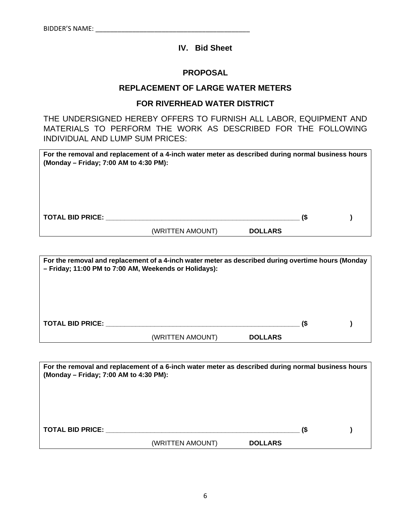# **IV. Bid Sheet**

#### **PROPOSAL**

## **REPLACEMENT OF LARGE WATER METERS**

## **FOR RIVERHEAD WATER DISTRICT**

THE UNDERSIGNED HEREBY OFFERS TO FURNISH ALL LABOR, EQUIPMENT AND MATERIALS TO PERFORM THE WORK AS DESCRIBED FOR THE FOLLOWING INDIVIDUAL AND LUMP SUM PRICES:

| For the removal and replacement of a 4-inch water meter as described during normal business hours<br>(Monday – Friday; 7:00 AM to 4:30 PM): |                  |                |    |  |
|---------------------------------------------------------------------------------------------------------------------------------------------|------------------|----------------|----|--|
|                                                                                                                                             |                  |                |    |  |
| <b>TOTAL BID PRICE:</b>                                                                                                                     |                  |                | (S |  |
|                                                                                                                                             | (WRITTEN AMOUNT) | <b>DOLLARS</b> |    |  |

| For the removal and replacement of a 4-inch water meter as described during overtime hours (Monday<br>- Friday; 11:00 PM to 7:00 AM, Weekends or Holidays): |                  |                |  |  |  |  |
|-------------------------------------------------------------------------------------------------------------------------------------------------------------|------------------|----------------|--|--|--|--|
|                                                                                                                                                             |                  |                |  |  |  |  |
|                                                                                                                                                             |                  |                |  |  |  |  |
| <b>TOTAL BID PRICE:</b>                                                                                                                                     | (WRITTEN AMOUNT) | <b>DOLLARS</b> |  |  |  |  |

| (Monday – Friday; 7:00 AM to 4:30 PM): | For the removal and replacement of a 6-inch water meter as described during normal business hours |                |     |  |
|----------------------------------------|---------------------------------------------------------------------------------------------------|----------------|-----|--|
|                                        |                                                                                                   |                |     |  |
|                                        |                                                                                                   |                |     |  |
| <b>TOTAL BID PRICE:</b>                |                                                                                                   |                | (\$ |  |
|                                        | (WRITTEN AMOUNT)                                                                                  | <b>DOLLARS</b> |     |  |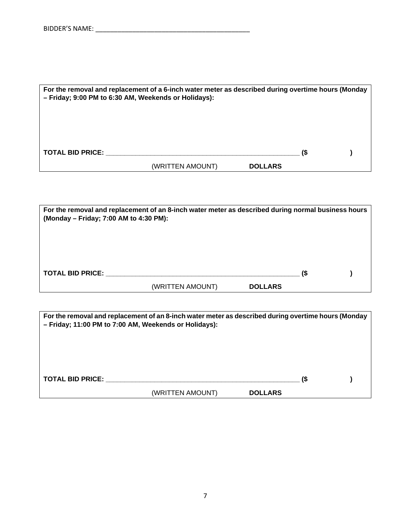| For the removal and replacement of a 6-inch water meter as described during overtime hours (Monday<br>- Friday; 9:00 PM to 6:30 AM, Weekends or Holidays): |                  |                |  |  |  |  |
|------------------------------------------------------------------------------------------------------------------------------------------------------------|------------------|----------------|--|--|--|--|
|                                                                                                                                                            |                  |                |  |  |  |  |
| <b>TOTAL BID PRICE:</b>                                                                                                                                    |                  |                |  |  |  |  |
|                                                                                                                                                            | (WRITTEN AMOUNT) | <b>DOLLARS</b> |  |  |  |  |

| For the removal and replacement of an 8-inch water meter as described during normal business hours<br>(Monday - Friday; 7:00 AM to 4:30 PM): |                  |                |  |  |  |
|----------------------------------------------------------------------------------------------------------------------------------------------|------------------|----------------|--|--|--|
|                                                                                                                                              |                  |                |  |  |  |
|                                                                                                                                              |                  |                |  |  |  |
| <b>TOTAL BID PRICE:</b>                                                                                                                      | (WRITTEN AMOUNT) | <b>DOLLARS</b> |  |  |  |

| For the removal and replacement of an 8-inch water meter as described during overtime hours (Monday<br>- Friday; 11:00 PM to 7:00 AM, Weekends or Holidays): |                  |                |  |  |  |
|--------------------------------------------------------------------------------------------------------------------------------------------------------------|------------------|----------------|--|--|--|
|                                                                                                                                                              |                  |                |  |  |  |
| <b>TOTAL BID PRICE:</b>                                                                                                                                      |                  |                |  |  |  |
|                                                                                                                                                              | (WRITTEN AMOUNT) | <b>DOLLARS</b> |  |  |  |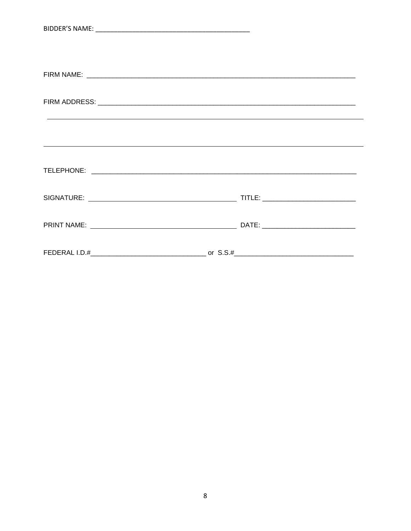| ,我们也不会有什么?""我们的人,我们也不会有什么?""我们的人,我们也不会有什么?""我们的人,我们也不会有什么?""我们的人,我们也不会有什么?""我们的人 |
|----------------------------------------------------------------------------------|
|                                                                                  |
|                                                                                  |
|                                                                                  |
|                                                                                  |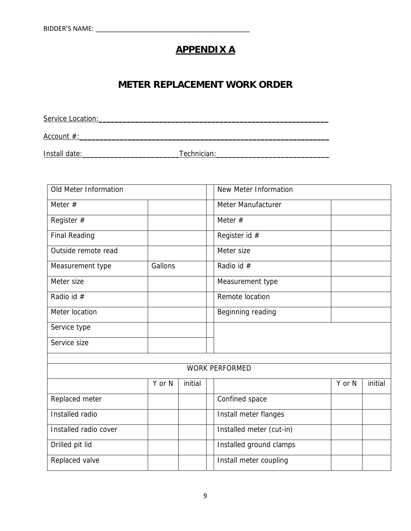# **APPENDIX A**

# **METER REPLACEMENT WORK ORDER**

Service Location:\_\_\_\_\_\_\_\_\_\_\_\_\_\_\_\_\_\_\_\_\_\_\_\_\_\_\_\_\_\_\_\_\_\_\_\_\_\_\_\_\_\_\_\_\_\_\_\_\_\_\_\_\_\_\_\_\_ Account #:\_\_\_\_\_\_\_\_\_\_\_\_\_\_\_\_\_\_\_\_\_\_\_\_\_\_\_\_\_\_\_\_\_\_\_\_\_\_\_\_\_\_\_\_\_\_\_\_\_\_\_\_\_\_\_\_\_\_\_\_\_\_

Install date:\_\_\_\_\_\_\_\_\_\_\_\_\_\_\_\_\_\_\_\_\_\_\_\_Technician:\_\_\_\_\_\_\_\_\_\_\_\_\_\_\_\_\_\_\_\_\_\_\_\_\_\_\_\_

| Old Meter Information |         | New Meter Information |                          |        |         |
|-----------------------|---------|-----------------------|--------------------------|--------|---------|
| Meter $#$             |         |                       | Meter Manufacturer       |        |         |
| Register #            |         |                       | Meter $#$                |        |         |
| <b>Final Reading</b>  |         |                       | Register id #            |        |         |
| Outside remote read   |         |                       | Meter size               |        |         |
| Measurement type      | Gallons |                       | Radio id #               |        |         |
| Meter size            |         |                       | Measurement type         |        |         |
| Radio id #            |         |                       | Remote location          |        |         |
| Meter location        |         |                       | Beginning reading        |        |         |
| Service type          |         |                       |                          |        |         |
| Service size          |         |                       |                          |        |         |
|                       |         |                       |                          |        |         |
|                       |         |                       | <b>WORK PERFORMED</b>    |        |         |
|                       | Y or N  | initial               |                          | Y or N | initial |
| Replaced meter        |         |                       | Confined space           |        |         |
| Installed radio       |         |                       | Install meter flanges    |        |         |
| Installed radio cover |         |                       | Installed meter (cut-in) |        |         |
| Drilled pit lid       |         |                       | Installed ground clamps  |        |         |
| Replaced valve        |         |                       | Install meter coupling   |        |         |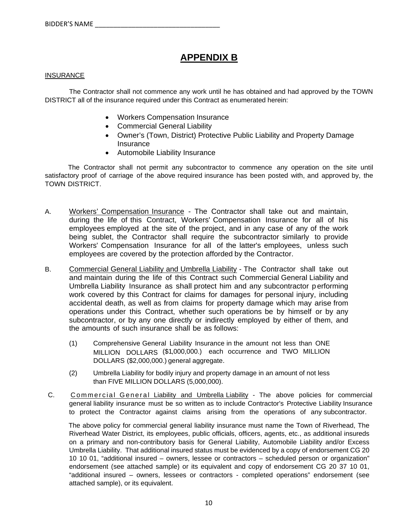# **APPENDIX B**

#### INSURANCE

 The Contractor shall not commence any work until he has obtained and had approved by the TOWN DISTRICT all of the insurance required under this Contract as enumerated herein:

- Workers Compensation Insurance
- Commercial General Liability
- Owner's (Town, District) Protective Public Liability and Property Damage Insurance
- Automobile Liability Insurance

The Contractor shall not permit any subcontractor to commence any operation on the site until satisfactory proof of carriage of the above required insurance has been posted with, and approved by, the TOWN DISTRICT.

- A. Workers' Compensation Insurance The Contractor shall take out and maintain, during the life of this Contract, Workers' Compensation Insurance for all of his employees employed at the site of the project, and in any case of any of the work being sublet, the Contractor shall require the subcontractor similarly to provide Workers' Compensation Insurance for all of the latter's employees, unless such employees are covered by the protection afforded by the Contractor.
- B. Commercial General Liability and Umbrella Liability The Contractor shall take out and maintain during the life of this Contract such Commercial General Liability and Umbrella Liability Insurance as shall protect him and any subcontractor p erforming work covered by this Contract for claims for damages for personal injury, including accidental death, as well as from claims for property damage which may arise from operations under this Contract, whether such operations be by himself or by any subcontractor, or by any one directly or indirectly employed by either of them, and the amounts of such insurance shall be as follows:
	- (1) Comprehensive General Liability Insurance in the amount not less than ONE MILLION DOLLARS (\$1,000,000.) each occurrence and TWO MILLION DOLLARS (\$2,000,000.) general aggregate.
	- (2) Umbrella Liability for bodily injury and property damage in an amount of not less than FIVE MILLION DOLLARS (5,000,000).
- C. Commercial General Liability and Umbrella Liability The above policies for commercial general liability insurance must be so written as to include Contractor's Protective Liability Insurance to protect the Contractor against claims arising from the operations of any subcontractor.

The above policy for commercial general liability insurance must name the Town of Riverhead, The Riverhead Water District, its employees, public officials, officers, agents, etc., as additional insureds on a primary and non-contributory basis for General Liability, Automobile Liability and/or Excess Umbrella Liability. That additional insured status must be evidenced by a copy of endorsement CG 20 10 10 01, "additional insured – owners, lessee or contractors – scheduled person or organization" endorsement (see attached sample) or its equivalent and copy of endorsement CG 20 37 10 01, "additional insured – owners, lessees or contractors - completed operations" endorsement (see attached sample), or its equivalent.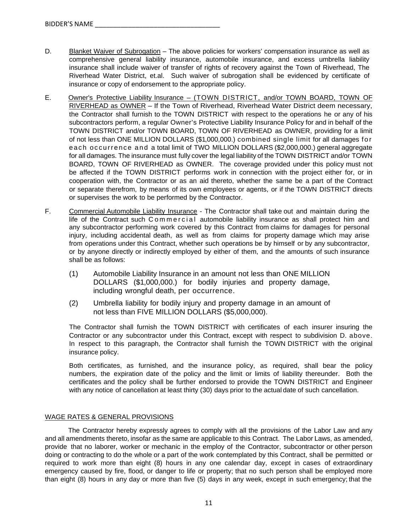- D. Blanket Waiver of Subrogation The above policies for workers' compensation insurance as well as comprehensive general liability insurance, automobile insurance, and excess umbrella liability insurance shall include waiver of transfer of rights of recovery against the Town of Riverhead, The Riverhead Water District, et.al. Such waiver of subrogation shall be evidenced by certificate of insurance or copy of endorsement to the appropriate policy.
- E. Owner's Protective Liability Insurance (TOWN DISTRICT, and/or TOWN BOARD, TOWN OF RIVERHEAD as OWNER – If the Town of Riverhead, Riverhead Water District deem necessary, the Contractor shall furnish to the TOWN DISTRICT with respect to the operations he or any of his subcontractors perform, a regular Owner's Protective Liability Insurance Policy for and in behalf of the TOWN DISTRICT and/or TOWN BOARD, TOWN OF RIVERHEAD as OWNER, providing for a limit of not less than ONE MILLION DOLLARS (\$1,000,000.) combined single limit for all damages fo r each occurrence and a total limit of TWO MILLION DOLLARS (\$2,000,000.) general aggregate for all damages. The insurance must fully cover the legal liability of the TOWN DISTRICT and/or TOWN BOARD, TOWN OF RIVERHEAD as OWNER. The coverage provided under this policy must not be affected if the TOWN DISTRICT performs work in connection with the project either for, or in cooperation with, the Contractor or as an aid thereto, whether the same be a part of the Contract or separate therefrom, by means of its own employees or agents, or if the TOWN DISTRICT directs or supervises the work to be performed by the Contractor.
- F. Commercial Automobile Liability Insurance The Contractor shall take out and maintain during the life of the Contract such Commercial automobile liability insurance as shall protect him and any subcontractor performing work covered by this Contract from claims for damages for personal injury, including accidental death, as well as from claims for property damage which may arise from operations under this Contract, whether such operations be by himself or by any subcontractor, or by anyone directly or indirectly employed by either of them, and the amounts of such insurance shall be as follows:
	- (1) Automobile Liability Insurance in an amount not less than ONE MILLION DOLLARS (\$1,000,000.) for bodily injuries and property damage, including wrongful death, per occurrence.
	- (2) Umbrella liability for bodily injury and property damage in an amount of not less than FIVE MILLION DOLLARS (\$5,000,000).

The Contractor shall furnish the TOWN DISTRICT with certificates of each insurer insuring the Contractor or any subcontractor under this Contract, except with respect to subdivision D. above. In respect to this paragraph, the Contractor shall furnish the TOWN DISTRICT with the original insurance policy.

Both certificates, as furnished, and the insurance policy, as required, shall bear the policy numbers, the expiration date of the policy and the limit or limits of liability thereunder. Both the certificates and the policy shall be further endorsed to provide the TOWN DISTRICT and Engineer with any notice of cancellation at least thirty (30) days prior to the actual date of such cancellation.

#### WAGE RATES & GENERAL PROVISIONS

The Contractor hereby expressly agrees to comply with all the provisions of the Labor Law and any and all amendments thereto, insofar as the same are applicable to this Contract. The Labor Laws, as amended, provide that no laborer, worker or mechanic in the employ of the Contractor, subcontractor or other person doing or contracting to do the whole or a part of the work contemplated by this Contract, shall be permitted or required to work more than eight (8) hours in any one calendar day, except in cases of extraordinary emergency caused by fire, flood, or danger to life or property; that no such person shall be employed more than eight (8) hours in any day or more than five (5) days in any week, except in such emergency; that the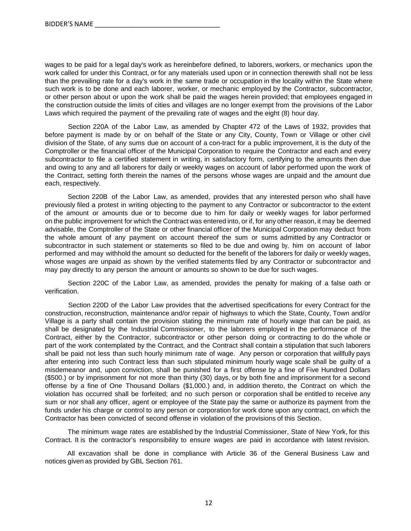wages to be paid for a legal day's work as hereinbefore defined, to laborers, workers, or mechanics upon the work called for under this Contract, or for any materials used upon or in connection therewith shall not be less than the prevailing rate for a day's work in the same trade or occupation in the locality within the State where such work is to be done and each laborer, worker, or mechanic employed by the Contractor, subcontractor, or other person about or upon the work shall be paid the wages herein provided; that employees engaged in the construction outside the limits of cities and villages are no longer exempt from the provisions of the Labor Laws which required the payment of the prevailing rate of wages and the eight (8) hour day.

Section 220A of the Labor Law, as amended by Chapter 472 of the Laws of 1932, provides that before payment is made by or on behalf of the State or any City, County, Town or Village or other civil division of the State, of any sums due on account of a con-tract for a public improvement, it is the duty of the Comptroller or the financial officer of the Municipal Corporation to require the Contractor and each and every subcontractor to file a certified statement in writing, in satisfactory form, certifying to the amounts then due and owing to any and all laborers for daily or weekly wages on account of labor performed upon the work of the Contract, setting forth therein the names of the persons whose wages are unpaid and the amount due each, respectively.

Section 220B of the Labor Law, as amended, provides that any interested person who shall have previously filed a protest in writing objecting to the payment to any Contractor or subcontractor to the extent of the amount or amounts due or to become due to him for daily or weekly wages for labor performed on the public improvement for which the Contract was entered into, or if, for any other reason, it may be deemed advisable, the Comptroller of the State or other financial officer of the Municipal Corporation may deduct from the whole amount of any payment on account thereof the sum or sums admitted by any Contractor or subcontractor in such statement or statements so filed to be due and owing by, him on account of labor performed and may withhold the amount so deducted for the benefit of the laborers for daily or weekly wages, whose wages are unpaid as shown by the verified statements filed by any Contractor or subcontractor and may pay directly to any person the amount or amounts so shown to be due for such wages.

Section 220C of the Labor Law, as amended, provides the penalty for making of a false oath or verification.

Section 220D of the Labor Law provides that the advertised specifications for every Contract for the construction, reconstruction, maintenance and/or repair of highways to which the State, County, Town and/or Village is a party shall contain the provision stating the minimum rate of hourly wage that can be paid, as shall be designated by the Industrial Commissioner, to the laborers employed in the performance of the Contract, either by the Contractor, subcontractor or other person doing or contracting to do the whole or part of the work contemplated by the Contract, and the Contract shall contain a stipulation that such laborers shall be paid not less than such hourly minimum rate of wage. Any person or corporation that willfully pays after entering into such Contract less than such stipulated minimum hourly wage scale shall be guilty of a misdemeanor and, upon conviction, shall be punished for a first offense by a fine of Five Hundred Dollars (\$500.) or by imprisonment for not more than thirty (30) days, or by both fine and imprisonment for a second offense by a fine of One Thousand Dollars (\$1,000.) and, in addition thereto, the Contract on which the violation has occurred shall be forfeited; and no such person or corporation shall be entitled to receive any sum or nor shall any officer, agent or employee of the State pay the same or authorize its payment from the funds under his charge or control to any person or corporation for work done upon any contract, on which the Contractor has been convicted of second offense in violation of the provisions of this Section.

The minimum wage rates are established by the Industrial Commissioner, State of New York, for this Contract. It is the contractor's responsibility to ensure wages are paid in accordance with latest revision.

All excavation shall be done in compliance with Article 36 of the General Business Law and notices given as provided by GBL Section 761.

12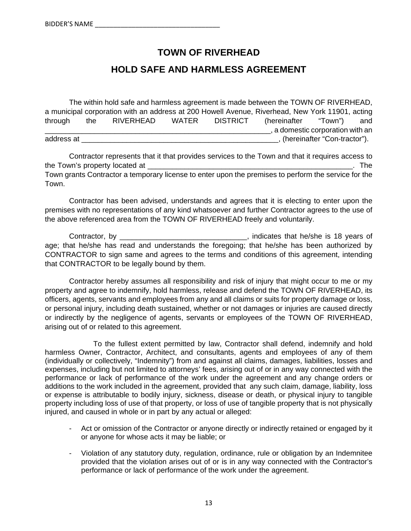# **TOWN OF RIVERHEAD**

# **HOLD SAFE AND HARMLESS AGREEMENT**

The within hold safe and harmless agreement is made between the TOWN OF RIVERHEAD, a municipal corporation with an address at 200 Howell Avenue, Riverhead, New York 11901, acting through the RIVERHEAD WATER DISTRICT (hereinafter "Town") and \_\_\_\_\_\_\_\_\_\_\_\_\_\_\_\_\_\_\_\_\_\_\_\_\_\_\_\_\_\_\_\_\_\_\_\_\_\_\_\_\_\_\_\_\_\_\_\_\_\_\_\_\_\_\_, a domestic corporation with an address at \_\_\_\_\_\_\_\_\_\_\_\_\_\_\_\_\_\_\_\_\_\_\_\_\_\_\_\_\_\_\_\_\_\_\_\_\_\_\_\_\_\_\_\_\_\_\_\_, (hereinafter "Con-tractor").

Contractor represents that it that provides services to the Town and that it requires access to the Town's property located at  $\blacksquare$ Town grants Contractor a temporary license to enter upon the premises to perform the service for the Town.

Contractor has been advised, understands and agrees that it is electing to enter upon the premises with no representations of any kind whatsoever and further Contractor agrees to the use of the above referenced area from the TOWN OF RIVERHEAD freely and voluntarily.

Contractor, by **Contractor**, by **Contractor**, by **Contractor**, by **Contractor**, by **Contractor**, by **Contractor** age; that he/she has read and understands the foregoing; that he/she has been authorized by CONTRACTOR to sign same and agrees to the terms and conditions of this agreement, intending that CONTRACTOR to be legally bound by them.

Contractor hereby assumes all responsibility and risk of injury that might occur to me or my property and agree to indemnify, hold harmless, release and defend the TOWN OF RIVERHEAD, its officers, agents, servants and employees from any and all claims or suits for property damage or loss, or personal injury, including death sustained, whether or not damages or injuries are caused directly or indirectly by the negligence of agents, servants or employees of the TOWN OF RIVERHEAD, arising out of or related to this agreement.

 To the fullest extent permitted by law, Contractor shall defend, indemnify and hold harmless Owner, Contractor, Architect, and consultants, agents and employees of any of them (individually or collectively, "Indemnity") from and against all claims, damages, liabilities, losses and expenses, including but not limited to attorneys' fees, arising out of or in any way connected with the performance or lack of performance of the work under the agreement and any change orders or additions to the work included in the agreement, provided that any such claim, damage, liability, loss or expense is attributable to bodily injury, sickness, disease or death, or physical injury to tangible property including loss of use of that property, or loss of use of tangible property that is not physically injured, and caused in whole or in part by any actual or alleged:

- Act or omission of the Contractor or anyone directly or indirectly retained or engaged by it or anyone for whose acts it may be liable; or
- Violation of any statutory duty, regulation, ordinance, rule or obligation by an Indemnitee provided that the violation arises out of or is in any way connected with the Contractor's performance or lack of performance of the work under the agreement.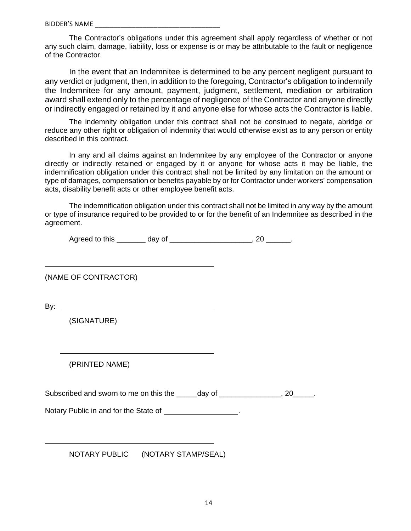The Contractor's obligations under this agreement shall apply regardless of whether or not any such claim, damage, liability, loss or expense is or may be attributable to the fault or negligence of the Contractor.

In the event that an Indemnitee is determined to be any percent negligent pursuant to any verdict or judgment, then, in addition to the foregoing, Contractor's obligation to indemnify the Indemnitee for any amount, payment, judgment, settlement, mediation or arbitration award shall extend only to the percentage of negligence of the Contractor and anyone directly or indirectly engaged or retained by it and anyone else for whose acts the Contractor is liable.

The indemnity obligation under this contract shall not be construed to negate, abridge or reduce any other right or obligation of indemnity that would otherwise exist as to any person or entity described in this contract.

In any and all claims against an Indemnitee by any employee of the Contractor or anyone directly or indirectly retained or engaged by it or anyone for whose acts it may be liable, the indemnification obligation under this contract shall not be limited by any limitation on the amount or type of damages, compensation or benefits payable by or for Contractor under workers' compensation acts, disability benefit acts or other employee benefit acts.

The indemnification obligation under this contract shall not be limited in any way by the amount or type of insurance required to be provided to or for the benefit of an Indemnitee as described in the agreement.

| Agreed to this |  |
|----------------|--|
|                |  |

(NAME OF CONTRACTOR)

By:

 $\overline{a}$ 

 $\overline{a}$ 

(SIGNATURE)

(PRINTED NAME)

Subscribed and sworn to me on this the \_\_\_\_\_day of \_\_\_\_\_\_\_\_\_\_\_\_\_\_, 20\_\_\_\_\_.

Notary Public in and for the State of \_\_\_\_\_\_\_\_\_\_\_\_\_\_\_\_.

NOTARY PUBLIC (NOTARY STAMP/SEAL)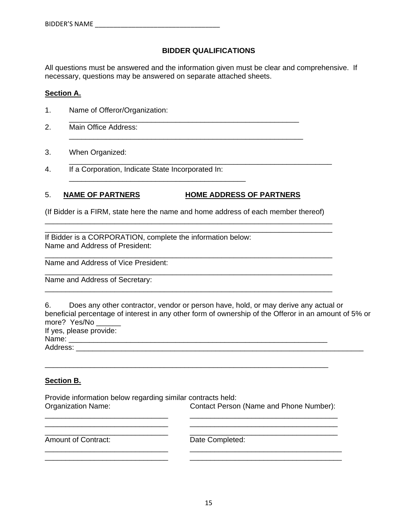#### **BIDDER QUALIFICATIONS**

All questions must be answered and the information given must be clear and comprehensive. If necessary, questions may be answered on separate attached sheets.

#### **Section A.**

- 1. Name of Offeror/Organization:
- 2. Main Office Address:
- 3. When Organized:
- \_\_\_\_\_\_\_\_\_\_\_\_\_\_\_\_\_\_\_\_\_\_\_\_\_\_\_\_\_\_\_\_\_\_\_\_\_\_\_\_\_\_\_\_\_\_\_\_\_\_\_\_\_\_\_\_\_\_\_\_\_\_\_\_ 4. If a Corporation, Indicate State Incorporated In:

#### 5. **NAME OF PARTNERS HOME ADDRESS OF PARTNERS**

\_\_\_\_\_\_\_\_\_\_\_\_\_\_\_\_\_\_\_\_\_\_\_\_\_\_\_\_\_\_\_\_\_\_\_\_\_\_\_\_\_\_\_

(If Bidder is a FIRM, state here the name and home address of each member thereof) \_\_\_\_\_\_\_\_\_\_\_\_\_\_\_\_\_\_\_\_\_\_\_\_\_\_\_\_\_\_\_\_\_\_\_\_\_\_\_\_\_\_\_\_\_\_\_\_\_\_\_\_\_\_\_\_\_\_\_\_\_\_\_\_\_\_\_\_\_\_

\_\_\_\_\_\_\_\_\_\_\_\_\_\_\_\_\_\_\_\_\_\_\_\_\_\_\_\_\_\_\_\_\_\_\_\_\_\_\_\_\_\_\_\_\_\_\_\_\_\_\_\_\_\_\_\_\_\_\_\_\_\_\_\_\_\_\_\_\_\_

\_\_\_\_\_\_\_\_\_\_\_\_\_\_\_\_\_\_\_\_\_\_\_\_\_\_\_\_\_\_\_\_\_\_\_\_\_\_\_\_\_\_\_\_\_\_\_\_\_\_\_\_\_\_\_\_\_\_\_\_\_\_\_\_\_\_\_\_\_\_

\_\_\_\_\_\_\_\_\_\_\_\_\_\_\_\_\_\_\_\_\_\_\_\_\_\_\_\_\_\_\_\_\_\_\_\_\_\_\_\_\_\_\_\_\_\_\_\_\_\_\_\_\_\_\_\_\_\_\_\_\_\_\_\_\_\_\_\_\_\_

\_\_\_\_\_\_\_\_\_\_\_\_\_\_\_\_\_\_\_\_\_\_\_\_\_\_\_\_\_\_\_\_\_\_\_\_\_\_\_\_\_\_\_\_\_\_\_\_\_\_\_\_\_\_\_\_\_\_\_\_\_\_\_\_\_\_\_\_\_\_

\_\_\_\_\_\_\_\_\_\_\_\_\_\_\_\_\_\_\_\_\_\_\_\_\_\_\_\_\_\_\_\_\_\_\_\_\_\_\_\_\_\_\_\_\_\_\_\_\_\_\_\_\_\_\_\_

\_\_\_\_\_\_\_\_\_\_\_\_\_\_\_\_\_\_\_\_\_\_\_\_\_\_\_\_\_\_\_\_\_\_\_\_\_\_\_\_\_\_\_\_\_\_\_\_\_\_\_\_\_\_\_\_\_

If Bidder is a CORPORATION, complete the information below: Name and Address of President:

Name and Address of Vice President:

Name and Address of Secretary:

6. Does any other contractor, vendor or person have, hold, or may derive any actual or beneficial percentage of interest in any other form of ownership of the Offeror in an amount of 5% or more? Yes/No If yes, please provide:

Name: \_\_\_\_\_\_\_\_\_\_\_\_\_\_\_\_\_\_\_\_\_\_\_\_\_\_\_\_\_\_\_\_\_\_\_\_\_\_\_\_\_\_\_\_\_\_\_\_\_\_\_\_\_\_\_\_\_\_\_\_\_\_\_

Address: \_\_\_\_\_\_\_\_\_\_\_\_\_\_\_\_\_\_\_\_\_\_\_\_\_\_\_\_\_\_\_\_\_\_\_\_\_\_\_\_\_\_\_\_\_\_\_\_\_\_\_\_\_\_\_\_\_\_\_\_\_\_\_\_\_\_\_\_\_\_

#### **Section B.**

Provide information below regarding similar contracts held: Organization Name: Contact Person (Name and Phone Number): \_\_\_\_\_\_\_\_\_\_\_\_\_\_\_\_\_\_\_\_\_\_\_\_\_\_\_\_\_\_ \_\_\_\_\_\_\_\_\_\_\_\_\_\_\_\_\_\_\_\_\_\_\_\_\_\_\_\_\_\_\_\_\_\_\_\_

\_\_\_\_\_\_\_\_\_\_\_\_\_\_\_\_\_\_\_\_\_\_\_\_\_\_\_\_\_\_ \_\_\_\_\_\_\_\_\_\_\_\_\_\_\_\_\_\_\_\_\_\_\_\_\_\_\_\_\_\_\_\_\_\_\_\_\_ \_\_\_\_\_\_\_\_\_\_\_\_\_\_\_\_\_\_\_\_\_\_\_\_\_\_\_\_\_\_ \_\_\_\_\_\_\_\_\_\_\_\_\_\_\_\_\_\_\_\_\_\_\_\_\_\_\_\_\_\_\_\_\_\_\_\_\_

\_\_\_\_\_\_\_\_\_\_\_\_\_\_\_\_\_\_\_\_\_\_\_\_\_\_\_\_\_\_ \_\_\_\_\_\_\_\_\_\_\_\_\_\_\_\_\_\_\_\_\_\_\_\_\_\_\_\_\_\_\_\_\_\_\_\_ \_\_\_\_\_\_\_\_\_\_\_\_\_\_\_\_\_\_\_\_\_\_\_\_\_\_\_\_\_\_ \_\_\_\_\_\_\_\_\_\_\_\_\_\_\_\_\_\_\_\_\_\_\_\_\_\_\_\_\_\_\_\_\_\_\_\_

\_\_\_\_\_\_\_\_\_\_\_\_\_\_\_\_\_\_\_\_\_\_\_\_\_\_\_\_\_\_\_\_\_\_\_\_\_\_\_\_\_\_\_\_\_\_\_\_\_\_\_\_\_\_\_\_\_\_\_\_\_\_\_\_\_\_\_\_\_

Amount of Contract: Date Completed: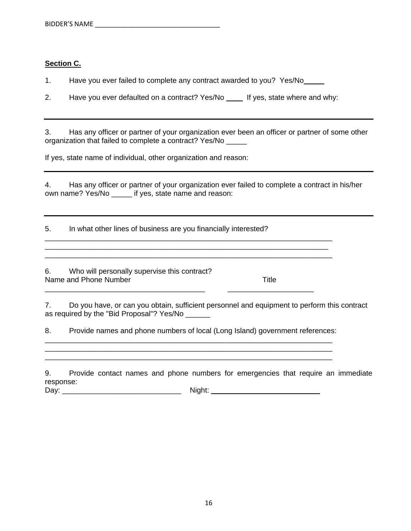### **Section C.**

1. Have you ever failed to complete any contract awarded to you? Yes/No\_\_\_\_\_

2. Have you ever defaulted on a contract? Yes/No \_\_\_\_ If yes, state where and why:

3. Has any officer or partner of your organization ever been an officer or partner of some other organization that failed to complete a contract? Yes/No \_\_\_\_\_

If yes, state name of individual, other organization and reason:

4. Has any officer or partner of your organization ever failed to complete a contract in his/her own name? Yes/No \_\_\_\_\_ if yes, state name and reason:

5. In what other lines of business are you financially interested?

6. Who will personally supervise this contract? Name and Phone Number Title

7. Do you have, or can you obtain, sufficient personnel and equipment to perform this contract as required by the "Bid Proposal"? Yes/No

8. Provide names and phone numbers of local (Long Island) government references: \_\_\_\_\_\_\_\_\_\_\_\_\_\_\_\_\_\_\_\_\_\_\_\_\_\_\_\_\_\_\_\_\_\_\_\_\_\_\_\_\_\_\_\_\_\_\_\_\_\_\_\_\_\_\_\_\_\_\_\_\_\_\_\_\_\_\_\_\_\_

\_\_\_\_\_\_\_\_\_\_\_\_\_\_\_\_\_\_\_\_\_\_\_\_\_\_\_\_\_\_\_\_\_\_\_\_\_\_\_\_\_\_\_\_\_\_\_\_\_\_\_\_\_\_\_\_\_\_\_\_\_\_\_\_\_\_\_\_\_\_

\_\_\_\_\_\_\_\_\_\_\_\_\_\_\_\_\_\_\_\_\_\_\_\_\_\_\_\_\_\_\_\_\_\_\_\_\_\_\_\_\_\_\_\_\_\_\_\_\_\_\_\_\_\_\_\_\_\_\_\_\_\_\_\_\_\_\_\_\_\_

\_\_\_\_\_\_\_\_\_\_\_\_\_\_\_\_\_\_\_\_\_\_\_\_\_\_\_\_\_\_\_\_\_\_\_\_\_\_\_ \_\_\_\_\_\_\_\_\_\_\_\_\_\_\_\_\_\_\_\_\_

9. Provide contact names and phone numbers for emergencies that require an immediate response:

Day: \_\_\_\_\_\_\_\_\_\_\_\_\_\_\_\_\_\_\_\_\_\_\_\_\_\_\_\_\_ Night: \_\_\_\_\_\_\_\_\_\_\_\_\_\_\_\_\_\_\_\_\_\_\_\_\_\_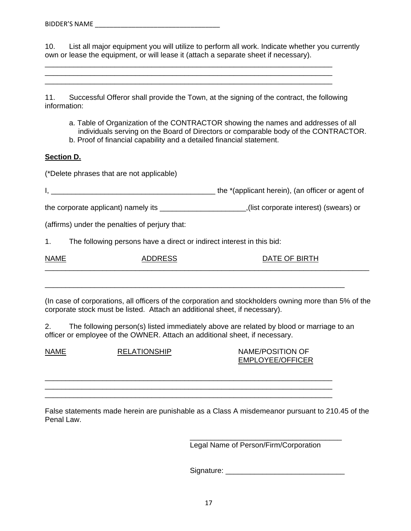10. List all major equipment you will utilize to perform all work. Indicate whether you currently own or lease the equipment, or will lease it (attach a separate sheet if necessary).

11. Successful Offeror shall provide the Town, at the signing of the contract, the following information:

\_\_\_\_\_\_\_\_\_\_\_\_\_\_\_\_\_\_\_\_\_\_\_\_\_\_\_\_\_\_\_\_\_\_\_\_\_\_\_\_\_\_\_\_\_\_\_\_\_\_\_\_\_\_\_\_\_\_\_\_\_\_\_\_\_\_\_\_\_\_ \_\_\_\_\_\_\_\_\_\_\_\_\_\_\_\_\_\_\_\_\_\_\_\_\_\_\_\_\_\_\_\_\_\_\_\_\_\_\_\_\_\_\_\_\_\_\_\_\_\_\_\_\_\_\_\_\_\_\_\_\_\_\_\_\_\_\_\_\_\_

- a. Table of Organization of the CONTRACTOR showing the names and addresses of all individuals serving on the Board of Directors or comparable body of the CONTRACTOR.
- b. Proof of financial capability and a detailed financial statement.

#### **Section D.**

(\*Delete phrases that are not applicable)

I, \_\_\_\_\_\_\_\_\_\_\_\_\_\_\_\_\_\_\_\_\_\_\_\_\_\_\_\_\_\_\_\_\_\_\_\_\_\_\_\_ the \*(applicant herein), (an officer or agent of

the corporate applicant) namely its \_\_\_\_\_\_\_\_\_\_\_\_\_\_\_\_\_\_\_\_\_,(list corporate interest) (swears) or

(affirms) under the penalties of perjury that:

1. The following persons have a direct or indirect interest in this bid:

| <b>NAME</b> | , ,,,,,,, | $\bigcap$ $\bigcap$ $\bigcap$ $\bigcap$<br><b>DATE</b><br>. . |
|-------------|-----------|---------------------------------------------------------------|
|             |           |                                                               |

(In case of corporations, all officers of the corporation and stockholders owning more than 5% of the corporate stock must be listed. Attach an additional sheet, if necessary).

2. The following person(s) listed immediately above are related by blood or marriage to an officer or employee of the OWNER. Attach an additional sheet, if necessary.

\_\_\_\_\_\_\_\_\_\_\_\_\_\_\_\_\_\_\_\_\_\_\_\_\_\_\_\_\_\_\_\_\_\_\_\_\_\_\_\_\_\_\_\_\_\_\_\_\_\_\_\_\_\_\_\_\_\_\_\_\_\_\_\_\_\_\_\_\_\_ \_\_\_\_\_\_\_\_\_\_\_\_\_\_\_\_\_\_\_\_\_\_\_\_\_\_\_\_\_\_\_\_\_\_\_\_\_\_\_\_\_\_\_\_\_\_\_\_\_\_\_\_\_\_\_\_\_\_\_\_\_\_\_\_\_\_\_\_\_\_ \_\_\_\_\_\_\_\_\_\_\_\_\_\_\_\_\_\_\_\_\_\_\_\_\_\_\_\_\_\_\_\_\_\_\_\_\_\_\_\_\_\_\_\_\_\_\_\_\_\_\_\_\_\_\_\_\_\_\_\_\_\_\_\_\_\_\_\_\_\_

\_\_\_\_\_\_\_\_\_\_\_\_\_\_\_\_\_\_\_\_\_\_\_\_\_\_\_\_\_\_\_\_\_\_\_\_\_\_\_\_\_\_\_\_\_\_\_\_\_\_\_\_\_\_\_\_\_\_\_\_\_\_\_\_\_\_\_\_\_\_\_\_\_

NAME RELATIONSHIP NAME/POSITION OF EMPLOYEE/OFFICER

False statements made herein are punishable as a Class A misdemeanor pursuant to 210.45 of the Penal Law.

Legal Name of Person/Firm/Corporation

Signature: \_\_\_\_\_\_\_\_\_\_\_\_\_\_\_\_\_\_\_\_\_\_\_\_\_\_\_\_\_

\_\_\_\_\_\_\_\_\_\_\_\_\_\_\_\_\_\_\_\_\_\_\_\_\_\_\_\_\_\_\_\_\_\_\_\_\_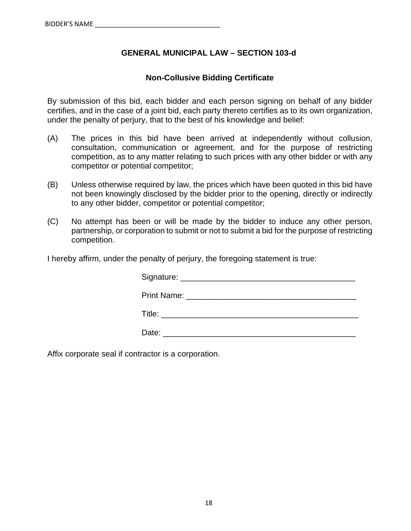## **GENERAL MUNICIPAL LAW – SECTION 103-d**

### **Non-Collusive Bidding Certificate**

By submission of this bid, each bidder and each person signing on behalf of any bidder certifies, and in the case of a joint bid, each party thereto certifies as to its own organization, under the penalty of perjury, that to the best of his knowledge and belief:

- (A) The prices in this bid have been arrived at independently without collusion, consultation, communication or agreement, and for the purpose of restricting competition, as to any matter relating to such prices with any other bidder or with any competitor or potential competitor;
- (B) Unless otherwise required by law, the prices which have been quoted in this bid have not been knowingly disclosed by the bidder prior to the opening, directly or indirectly to any other bidder, competitor or potential competitor;
- (C) No attempt has been or will be made by the bidder to induce any other person, partnership, or corporation to submit or not to submit a bid for the purpose of restricting competition.

I hereby affirm, under the penalty of perjury, the foregoing statement is true:

Signature: \_\_\_\_\_\_\_\_\_\_\_\_\_\_\_\_\_\_\_\_\_\_\_\_\_\_\_\_\_\_\_\_\_\_\_\_\_\_\_

Print Name: **Example 20** and 20 and 20 and 20 and 20 and 20 and 20 and 20 and 20 and 20 and 20 and 20 and 20 and 20 and 20 and 20 and 20 and 20 and 20 and 20 and 20 and 20 and 20 and 20 and 20 and 20 and 20 and 20 and 20 a

 $\mathsf{Title:}\qquad \qquad$ 

Date: \_\_\_\_\_\_\_\_\_\_\_\_\_\_\_\_\_\_\_\_\_\_\_\_\_\_\_\_\_\_\_\_\_\_\_\_\_\_\_\_\_\_\_

Affix corporate seal if contractor is a corporation.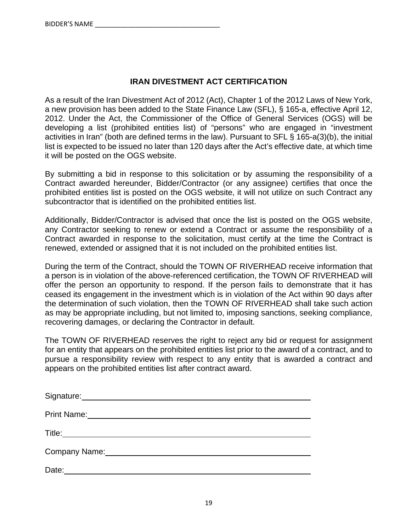## **IRAN DIVESTMENT ACT CERTIFICATION**

As a result of the Iran Divestment Act of 2012 (Act), Chapter 1 of the 2012 Laws of New York, a new provision has been added to the State Finance Law (SFL), § 165-a, effective April 12, 2012. Under the Act, the Commissioner of the Office of General Services (OGS) will be developing a list (prohibited entities list) of "persons" who are engaged in "investment activities in Iran" (both are defined terms in the law). Pursuant to SFL § 165-a(3)(b), the initial list is expected to be issued no later than 120 days after the Act's effective date, at which time it will be posted on the OGS website.

By submitting a bid in response to this solicitation or by assuming the responsibility of a Contract awarded hereunder, Bidder/Contractor (or any assignee) certifies that once the prohibited entities list is posted on the OGS website, it will not utilize on such Contract any subcontractor that is identified on the prohibited entities list.

Additionally, Bidder/Contractor is advised that once the list is posted on the OGS website, any Contractor seeking to renew or extend a Contract or assume the responsibility of a Contract awarded in response to the solicitation, must certify at the time the Contract is renewed, extended or assigned that it is not included on the prohibited entities list.

During the term of the Contract, should the TOWN OF RIVERHEAD receive information that a person is in violation of the above-referenced certification, the TOWN OF RIVERHEAD will offer the person an opportunity to respond. If the person fails to demonstrate that it has ceased its engagement in the investment which is in violation of the Act within 90 days after the determination of such violation, then the TOWN OF RIVERHEAD shall take such action as may be appropriate including, but not limited to, imposing sanctions, seeking compliance, recovering damages, or declaring the Contractor in default.

The TOWN OF RIVERHEAD reserves the right to reject any bid or request for assignment for an entity that appears on the prohibited entities list prior to the award of a contract, and to pursue a responsibility review with respect to any entity that is awarded a contract and appears on the prohibited entities list after contract award.

| Signature: Management of Signature:                                                                                                                                                                                           |
|-------------------------------------------------------------------------------------------------------------------------------------------------------------------------------------------------------------------------------|
| <b>Print Name:</b>                                                                                                                                                                                                            |
| Title: Title: The Contract of the Contract of the Contract of the Contract of the Contract of the Contract of the Contract of the Contract of the Contract of the Contract of the Contract of the Contract of the Contract of |
| Company Name:                                                                                                                                                                                                                 |
| Date:                                                                                                                                                                                                                         |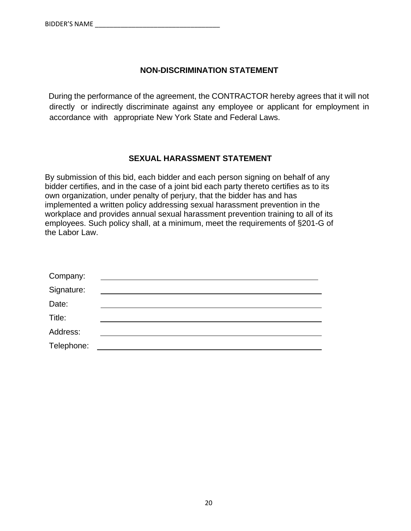## **NON-DISCRIMINATION STATEMENT**

During the performance of the agreement, the CONTRACTOR hereby agrees that it will not directly or indirectly discriminate against any employee or applicant for employment in accordance with appropriate New York State and Federal Laws.

## **SEXUAL HARASSMENT STATEMENT**

By submission of this bid, each bidder and each person signing on behalf of any bidder certifies, and in the case of a joint bid each party thereto certifies as to its own organization, under penalty of perjury, that the bidder has and has implemented a written policy addressing sexual harassment prevention in the workplace and provides annual sexual harassment prevention training to all of its employees. Such policy shall, at a minimum, meet the requirements of §201-G of the Labor Law.

| Company:   |  |
|------------|--|
| Signature: |  |
| Date:      |  |
| Title:     |  |
| Address:   |  |
| Telephone: |  |
|            |  |